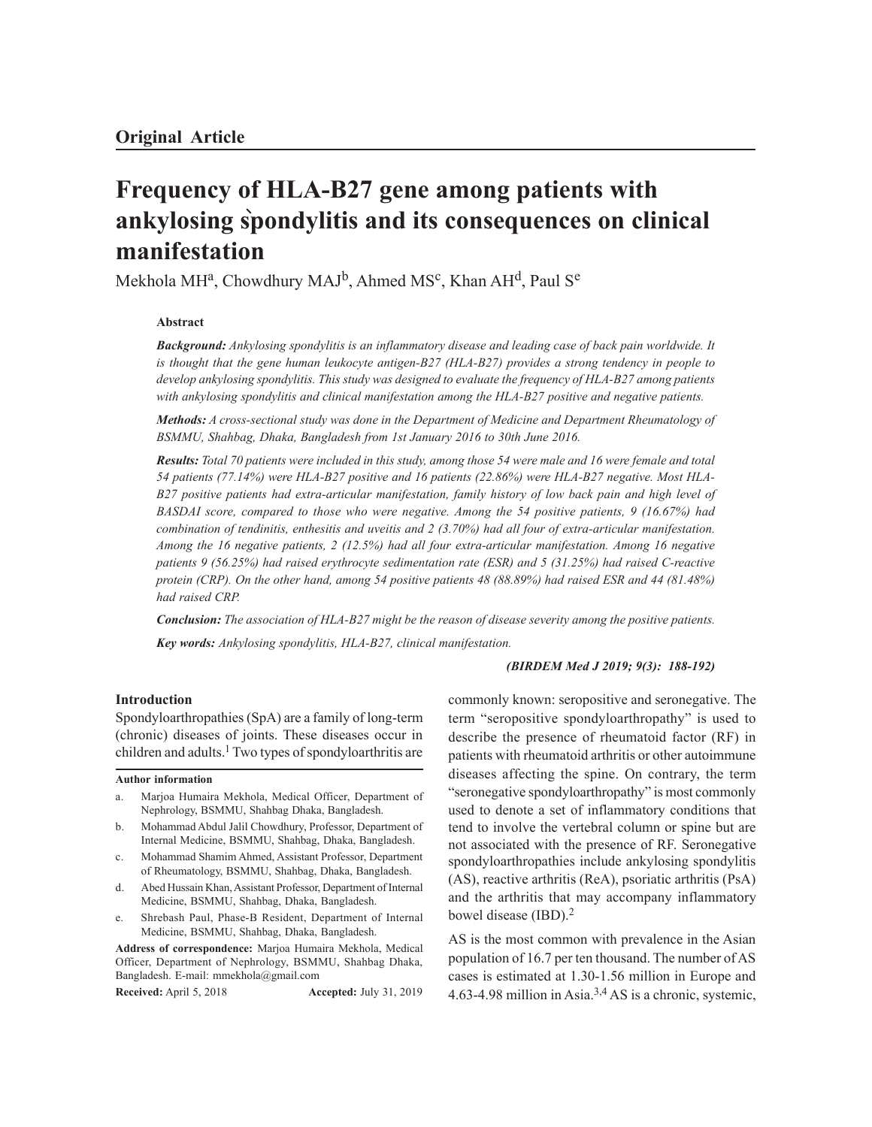# **Frequency of HLA-B27 gene among patients with ankylosing spondylitis and its consequences on clinical manifestation**

Mekhola MH<sup>a</sup>, Chowdhury MAJ<sup>b</sup>, Ahmed MS<sup>c</sup>, Khan AH<sup>d</sup>, Paul S<sup>e</sup>

#### **Abstract**

*Background: Ankylosing spondylitis is an inflammatory disease and leading case of back pain worldwide. It is thought that the gene human leukocyte antigen-B27 (HLA-B27) provides a strong tendency in people to develop ankylosing spondylitis. This study was designed to evaluate the frequency of HLA-B27 among patients with ankylosing spondylitis and clinical manifestation among the HLA-B27 positive and negative patients.*

*Methods: A cross-sectional study was done in the Department of Medicine and Department Rheumatology of BSMMU, Shahbag, Dhaka, Bangladesh from 1st January 2016 to 30th June 2016.*

*Results: Total 70 patients were included in this study, among those 54 were male and 16 were female and total 54 patients (77.14%) were HLA-B27 positive and 16 patients (22.86%) were HLA-B27 negative. Most HLA-B27 positive patients had extra-articular manifestation, family history of low back pain and high level of BASDAI score, compared to those who were negative. Among the 54 positive patients, 9 (16.67%) had combination of tendinitis, enthesitis and uveitis and 2 (3.70%) had all four of extra-articular manifestation. Among the 16 negative patients, 2 (12.5%) had all four extra-articular manifestation. Among 16 negative patients 9 (56.25%) had raised erythrocyte sedimentation rate (ESR) and 5 (31.25%) had raised C-reactive protein (CRP). On the other hand, among 54 positive patients 48 (88.89%) had raised ESR and 44 (81.48%) had raised CRP.*

*Conclusion: The association of HLA-B27 might be the reason of disease severity among the positive patients. Key words: Ankylosing spondylitis, HLA-B27, clinical manifestation.*

## *(BIRDEM Med J 2019; 9(3): 188-192)*

#### **Introduction**

Spondyloarthropathies (SpA) are a family of long-term (chronic) diseases of joints. These diseases occur in children and adults.<sup>1</sup> Two types of spondyloarthritis are

#### **Author information**

- a. Marjoa Humaira Mekhola, Medical Officer, Department of Nephrology, BSMMU, Shahbag Dhaka, Bangladesh.
- b. Mohammad Abdul Jalil Chowdhury, Professor, Department of Internal Medicine, BSMMU, Shahbag, Dhaka, Bangladesh.
- c. Mohammad Shamim Ahmed, Assistant Professor, Department of Rheumatology, BSMMU, Shahbag, Dhaka, Bangladesh.
- d. Abed Hussain Khan, Assistant Professor, Department of Internal Medicine, BSMMU, Shahbag, Dhaka, Bangladesh.
- e. Shrebash Paul, Phase-B Resident, Department of Internal Medicine, BSMMU, Shahbag, Dhaka, Bangladesh.

**Address of correspondence:** Marjoa Humaira Mekhola, Medical Officer, Department of Nephrology, BSMMU, Shahbag Dhaka, Bangladesh. E-mail: mmekhola@gmail.com

**Received:** April 5, 2018 **Accepted:** July 31, 2019

commonly known: seropositive and seronegative. The term "seropositive spondyloarthropathy" is used to describe the presence of rheumatoid factor (RF) in patients with rheumatoid arthritis or other autoimmune diseases affecting the spine. On contrary, the term "seronegative spondyloarthropathy" is most commonly used to denote a set of inflammatory conditions that tend to involve the vertebral column or spine but are not associated with the presence of RF. Seronegative spondyloarthropathies include ankylosing spondylitis (AS), reactive arthritis (ReA), psoriatic arthritis (PsA) and the arthritis that may accompany inflammatory bowel disease (IBD).<sup>2</sup>

AS is the most common with prevalence in the Asian population of 16.7 per ten thousand. The number of AS cases is estimated at 1.30-1.56 million in Europe and 4.63-4.98 million in Asia.3,4 AS is a chronic, systemic,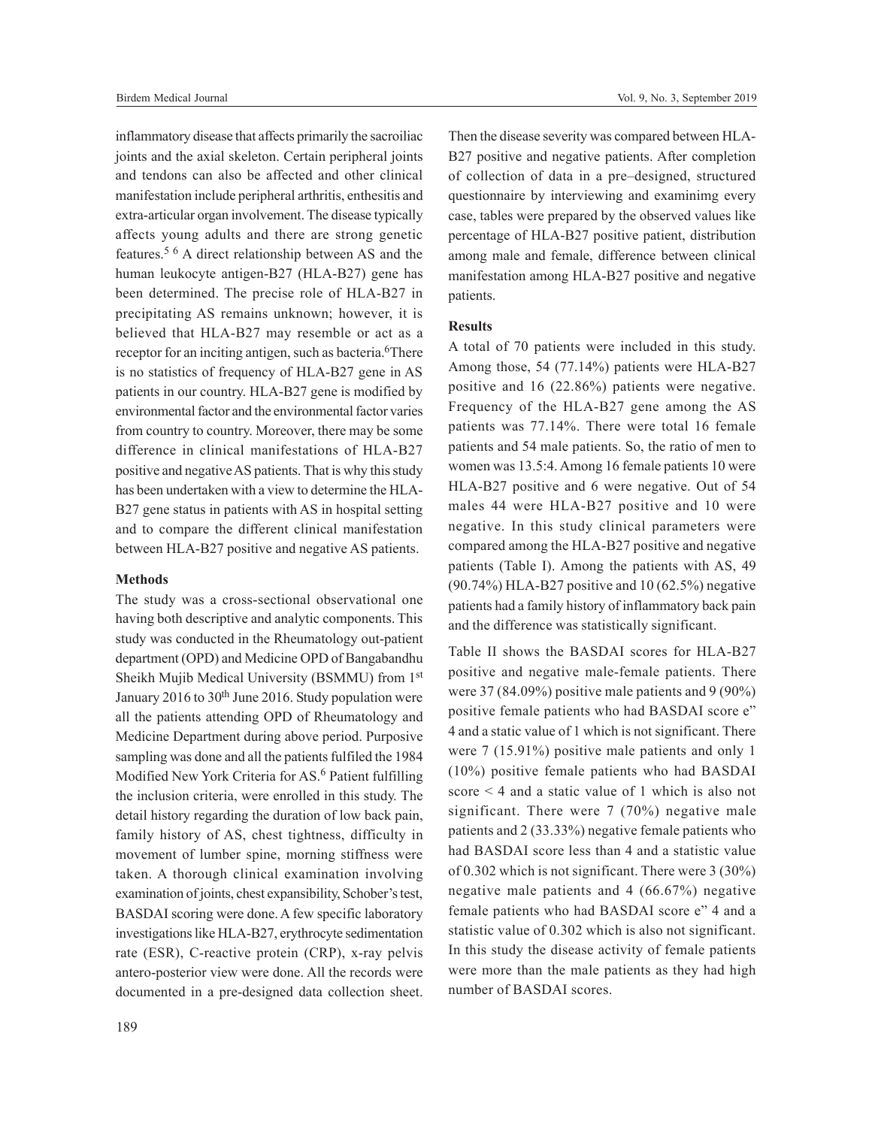inflammatory disease that affects primarily the sacroiliac joints and the axial skeleton. Certain peripheral joints and tendons can also be affected and other clinical manifestation include peripheral arthritis, enthesitis and extra-articular organ involvement. The disease typically affects young adults and there are strong genetic features.<sup>5 6</sup> A direct relationship between AS and the human leukocyte antigen-B27 (HLA-B27) gene has been determined. The precise role of HLA-B27 in precipitating AS remains unknown; however, it is believed that HLA-B27 may resemble or act as a receptor for an inciting antigen, such as bacteria.<sup>6</sup>There is no statistics of frequency of HLA-B27 gene in AS patients in our country. HLA-B27 gene is modified by environmental factor and the environmental factor varies from country to country. Moreover, there may be some difference in clinical manifestations of HLA-B27 positive and negative AS patients. That is why this study has been undertaken with a view to determine the HLA-

B27 gene status in patients with AS in hospital setting and to compare the different clinical manifestation

between HLA-B27 positive and negative AS patients.

# **Methods**

The study was a cross-sectional observational one having both descriptive and analytic components. This study was conducted in the Rheumatology out-patient department (OPD) and Medicine OPD of Bangabandhu Sheikh Mujib Medical University (BSMMU) from 1st January 2016 to  $30<sup>th</sup>$  June 2016. Study population were all the patients attending OPD of Rheumatology and Medicine Department during above period. Purposive sampling was done and all the patients fulfiled the 1984 Modified New York Criteria for AS.<sup>6</sup> Patient fulfilling the inclusion criteria, were enrolled in this study. The detail history regarding the duration of low back pain, family history of AS, chest tightness, difficulty in movement of lumber spine, morning stiffness were taken. A thorough clinical examination involving examination of joints, chest expansibility, Schober's test, BASDAI scoring were done. A few specific laboratory investigations like HLA-B27, erythrocyte sedimentation rate (ESR), C-reactive protein (CRP), x-ray pelvis antero-posterior view were done. All the records were documented in a pre-designed data collection sheet.

189

Then the disease severity was compared between HLA-B27 positive and negative patients. After completion of collection of data in a pre–designed, structured questionnaire by interviewing and examinimg every case, tables were prepared by the observed values like percentage of HLA-B27 positive patient, distribution among male and female, difference between clinical manifestation among HLA-B27 positive and negative patients.

### **Results**

A total of 70 patients were included in this study. Among those, 54 (77.14%) patients were HLA-B27 positive and 16 (22.86%) patients were negative. Frequency of the HLA-B27 gene among the AS patients was 77.14%. There were total 16 female patients and 54 male patients. So, the ratio of men to women was 13.5:4. Among 16 female patients 10 were HLA-B27 positive and 6 were negative. Out of 54 males 44 were HLA-B27 positive and 10 were negative. In this study clinical parameters were compared among the HLA-B27 positive and negative patients (Table I). Among the patients with AS, 49 (90.74%) HLA-B27 positive and 10 (62.5%) negative patients had a family history of inflammatory back pain and the difference was statistically significant.

Table II shows the BASDAI scores for HLA-B27 positive and negative male-female patients. There were 37 (84.09%) positive male patients and 9 (90%) positive female patients who had BASDAI score e" 4 and a static value of 1 which is not significant. There were 7 (15.91%) positive male patients and only 1 (10%) positive female patients who had BASDAI score < 4 and a static value of 1 which is also not significant. There were 7 (70%) negative male patients and 2 (33.33%) negative female patients who had BASDAI score less than 4 and a statistic value of 0.302 which is not significant. There were 3 (30%) negative male patients and 4 (66.67%) negative female patients who had BASDAI score e" 4 and a statistic value of 0.302 which is also not significant. In this study the disease activity of female patients were more than the male patients as they had high number of BASDAI scores.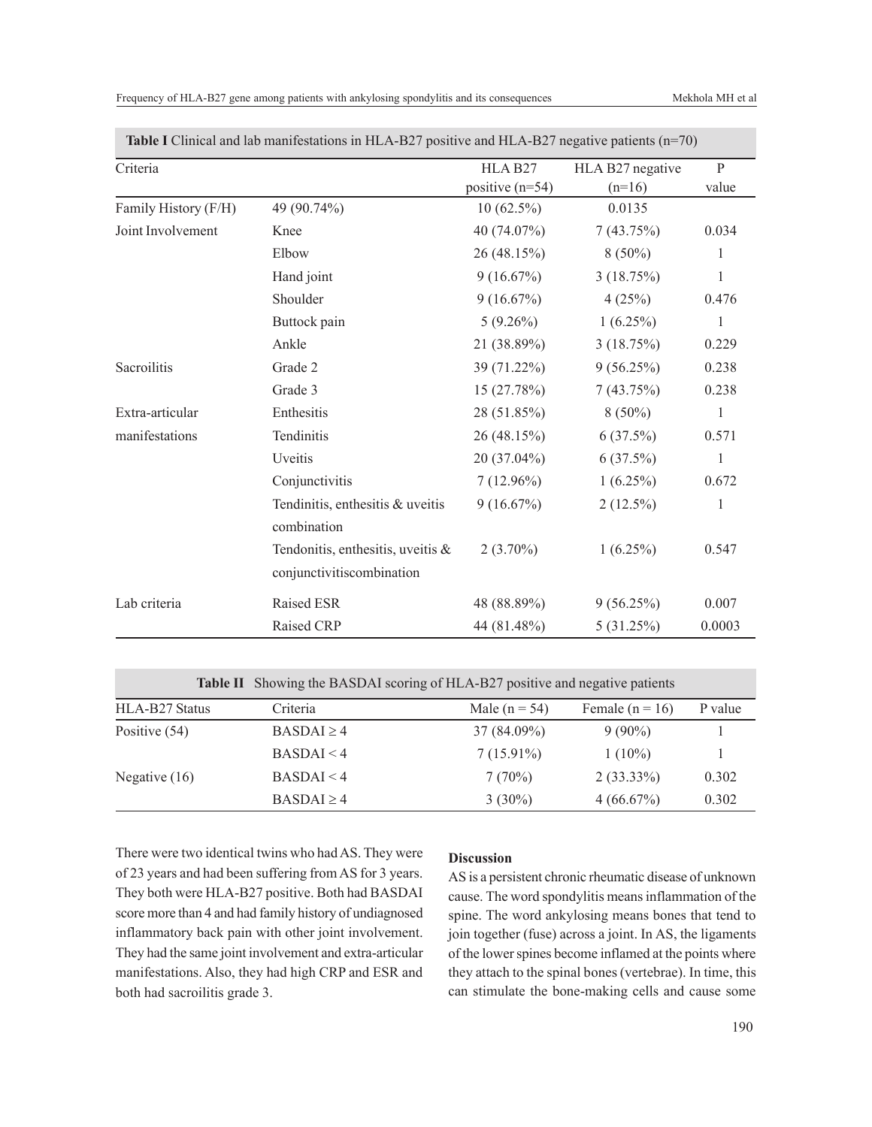|  |  |  | Frequency of HLA-B27 gene among patients with ankylosing spondylitis and its consequences |
|--|--|--|-------------------------------------------------------------------------------------------|
|--|--|--|-------------------------------------------------------------------------------------------|

| Criteria             |                                                                   | HLA B <sub>27</sub> | HLA B27 negative | $\mathbf{P}$ |
|----------------------|-------------------------------------------------------------------|---------------------|------------------|--------------|
|                      |                                                                   | positive $(n=54)$   | $(n=16)$         | value        |
| Family History (F/H) | 49 (90.74%)                                                       | $10(62.5\%)$        | 0.0135           |              |
| Joint Involvement    | Knee                                                              | 40 (74.07%)         | 7(43.75%)        | 0.034        |
|                      | Elbow                                                             | 26(48.15%)          | $8(50\%)$        | 1            |
|                      | Hand joint                                                        | 9(16.67%)           | 3(18.75%)        | 1            |
|                      | Shoulder                                                          | 9(16.67%)           | 4(25%)           | 0.476        |
|                      | Buttock pain                                                      | $5(9.26\%)$         | $1(6.25\%)$      | 1            |
|                      | Ankle                                                             | 21 (38.89%)         | 3(18.75%)        | 0.229        |
| Sacroilitis          | Grade 2                                                           | 39 (71.22%)         | 9(56.25%)        | 0.238        |
|                      | Grade 3                                                           | 15(27.78%)          | 7(43.75%)        | 0.238        |
| Extra-articular      | Enthesitis                                                        | 28 (51.85%)         | $8(50\%)$        | $\mathbf{1}$ |
| manifestations       | Tendinitis                                                        | 26(48.15%)          | $6(37.5\%)$      | 0.571        |
|                      | Uveitis                                                           | 20 (37.04%)         | 6(37.5%)         | $\mathbf{1}$ |
|                      | Conjunctivitis                                                    | $7(12.96\%)$        | $1(6.25\%)$      | 0.672        |
|                      | Tendinitis, enthesitis & uveitis<br>combination                   | 9(16.67%)           | $2(12.5\%)$      | 1            |
|                      | Tendonitis, enthesitis, uveitis $\&$<br>conjunctivitiscombination | $2(3.70\%)$         | $1(6.25\%)$      | 0.547        |
| Lab criteria         | Raised ESR                                                        | 48 (88.89%)         | 9(56.25%)        | 0.007        |
|                      | Raised CRP                                                        | 44 (81.48%)         | 5(31.25%)        | 0.0003       |

**Table I** Clinical and lab manifestations in HLA-B27 positive and HLA-B27 negative patients (n=70)

|  |  |  | Table II Showing the BASDAI scoring of HLA-B27 positive and negative patients |
|--|--|--|-------------------------------------------------------------------------------|
|--|--|--|-------------------------------------------------------------------------------|

| HLA-B27 Status  | Criteria        | Male $(n = 54)$ | Female $(n = 16)$ | P value |
|-----------------|-----------------|-----------------|-------------------|---------|
| Positive (54)   | $BASDAL \geq 4$ | 37 (84.09%)     | $9(90\%)$         |         |
|                 | BASDAL < 4      | $7(15.91\%)$    | $1(10\%)$         |         |
| Negative $(16)$ | BASDAL < 4      | 7(70%)          | $2(33.33\%)$      | 0.302   |
|                 | $BASDAL \geq 4$ | $3(30\%)$       | 4(66.67%)         | 0.302   |

There were two identical twins who had AS. They were of 23 years and had been suffering from AS for 3 years. They both were HLA-B27 positive. Both had BASDAI score more than 4 and had family history of undiagnosed inflammatory back pain with other joint involvement. They had the same joint involvement and extra-articular manifestations. Also, they had high CRP and ESR and both had sacroilitis grade 3.

# **Discussion**

AS is a persistent chronic rheumatic disease of unknown cause. The word spondylitis means inflammation of the spine. The word ankylosing means bones that tend to join together (fuse) across a joint. In AS, the ligaments of the lower spines become inflamed at the points where they attach to the spinal bones (vertebrae). In time, this can stimulate the bone-making cells and cause some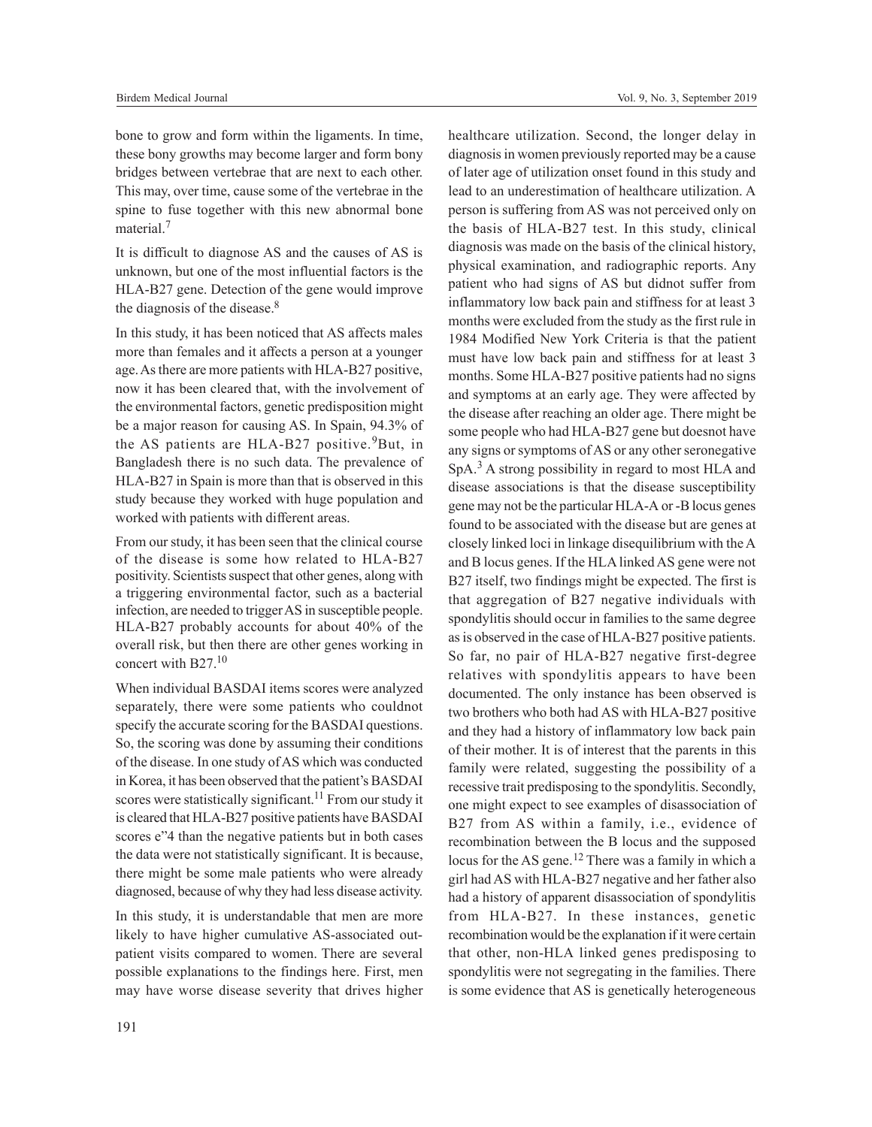bone to grow and form within the ligaments. In time, these bony growths may become larger and form bony bridges between vertebrae that are next to each other. This may, over time, cause some of the vertebrae in the spine to fuse together with this new abnormal bone material.<sup>7</sup>

It is difficult to diagnose AS and the causes of AS is unknown, but one of the most influential factors is the HLA-B27 gene. Detection of the gene would improve the diagnosis of the disease.<sup>8</sup>

In this study, it has been noticed that AS affects males more than females and it affects a person at a younger age. As there are more patients with HLA-B27 positive, now it has been cleared that, with the involvement of the environmental factors, genetic predisposition might be a major reason for causing AS. In Spain, 94.3% of the AS patients are HLA-B27 positive.<sup>9</sup>But, in Bangladesh there is no such data. The prevalence of HLA-B27 in Spain is more than that is observed in this study because they worked with huge population and worked with patients with different areas.

From our study, it has been seen that the clinical course of the disease is some how related to HLA-B27 positivity. Scientists suspect that other genes, along with a triggering environmental factor, such as a bacterial infection, are needed to trigger AS in susceptible people. HLA-B27 probably accounts for about 40% of the overall risk, but then there are other genes working in concert with B27.<sup>10</sup>

When individual BASDAI items scores were analyzed separately, there were some patients who couldnot specify the accurate scoring for the BASDAI questions. So, the scoring was done by assuming their conditions of the disease. In one study of AS which was conducted in Korea, it has been observed that the patient's BASDAI scores were statistically significant.<sup>11</sup> From our study it is cleared that HLA-B27 positive patients have BASDAI scores e"4 than the negative patients but in both cases the data were not statistically significant. It is because, there might be some male patients who were already diagnosed, because of why they had less disease activity.

In this study, it is understandable that men are more likely to have higher cumulative AS-associated outpatient visits compared to women. There are several possible explanations to the findings here. First, men may have worse disease severity that drives higher healthcare utilization. Second, the longer delay in diagnosis in women previously reported may be a cause of later age of utilization onset found in this study and lead to an underestimation of healthcare utilization. A person is suffering from AS was not perceived only on the basis of HLA-B27 test. In this study, clinical diagnosis was made on the basis of the clinical history, physical examination, and radiographic reports. Any patient who had signs of AS but didnot suffer from inflammatory low back pain and stiffness for at least 3 months were excluded from the study as the first rule in 1984 Modified New York Criteria is that the patient must have low back pain and stiffness for at least 3 months. Some HLA-B27 positive patients had no signs and symptoms at an early age. They were affected by the disease after reaching an older age. There might be some people who had HLA-B27 gene but doesnot have any signs or symptoms of AS or any other seronegative SpA.<sup>3</sup> A strong possibility in regard to most HLA and disease associations is that the disease susceptibility gene may not be the particular HLA-A or -B locus genes found to be associated with the disease but are genes at closely linked loci in linkage disequilibrium with the A and B locus genes. If the HLA linked AS gene were not B27 itself, two findings might be expected. The first is that aggregation of B27 negative individuals with spondylitis should occur in families to the same degree as is observed in the case of HLA-B27 positive patients. So far, no pair of HLA-B27 negative first-degree relatives with spondylitis appears to have been documented. The only instance has been observed is two brothers who both had AS with HLA-B27 positive and they had a history of inflammatory low back pain of their mother. It is of interest that the parents in this family were related, suggesting the possibility of a recessive trait predisposing to the spondylitis. Secondly, one might expect to see examples of disassociation of B27 from AS within a family, i.e., evidence of recombination between the B locus and the supposed locus for the AS gene.<sup>12</sup> There was a family in which a girl had AS with HLA-B27 negative and her father also had a history of apparent disassociation of spondylitis from HLA-B27. In these instances, genetic recombination would be the explanation if it were certain that other, non-HLA linked genes predisposing to spondylitis were not segregating in the families. There is some evidence that AS is genetically heterogeneous